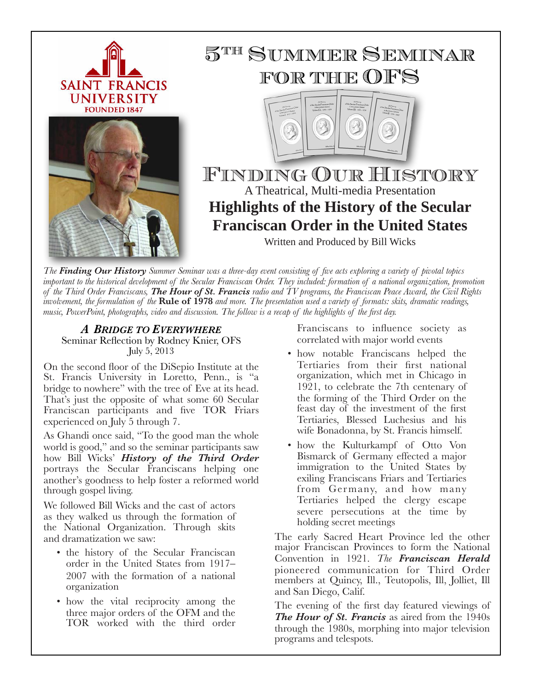

*The Finding Our History Summer Seminar was a three-day event consisting of five acts exploring a variety of pivotal topics important to the historical development of the Secular Franciscan Order. They included: formation of a national organization, promotion of the Third Order Franciscans, The Hour of St. Francis radio and TV programs, the Franciscan Peace Award, the Civil Rights involvement, the formulation of the* **Rule of 1978** *and more. The presentation used a variety of formats: skits, dramatic readings, music, PowerPoint, photographs, video and discussion. The follow is a recap of the highlights of the first day.*

## *A BRIDGE TO EVERYWHERE* Seminar Reflection by Rodney Knier, OFS July 5, 2013

On the second floor of the DiSepio Institute at the St. Francis University in Loretto, Penn., is "a bridge to nowhere" with the tree of Eve at its head. That's just the opposite of what some 60 Secular Franciscan participants and five TOR Friars experienced on July 5 through 7.

As Ghandi once said, "To the good man the whole world is good," and so the seminar participants saw how Bill Wicks' *History of the Third Order* portrays the Secular Franciscans helping one another's goodness to help foster a reformed world through gospel living.

We followed Bill Wicks and the cast of actors as they walked us through the formation of the National Organization. Through skits and dramatization we saw:

- the history of the Secular Franciscan order in the United States from 1917– 2007 with the formation of a national organization
- how the vital reciprocity among the three major orders of the OFM and the TOR worked with the third order

Franciscans to influence society as correlated with major world events

- how notable Franciscans helped the Tertiaries from their first national organization, which met in Chicago in 1921, to celebrate the 7th centenary of the forming of the Third Order on the feast day of the investment of the first Tertiaries, Blessed Luchesius and his wife Bonadonna, by St. Francis himself.
- how the Kulturkampf of Otto Von Bismarck of Germany effected a major immigration to the United States by exiling Franciscans Friars and Tertiaries from Germany, and how many Tertiaries helped the clergy escape severe persecutions at the time by holding secret meetings

The early Sacred Heart Province led the other major Franciscan Provinces to form the National Convention in 1921. *The Franciscan Herald* pioneered communication for Third Order members at Quincy, Ill., Teutopolis, Ill, Jolliet, Ill and San Diego, Calif.

The evening of the first day featured viewings of *The Hour of St. Francis* as aired from the 1940s through the 1980s, morphing into major television programs and telespots.